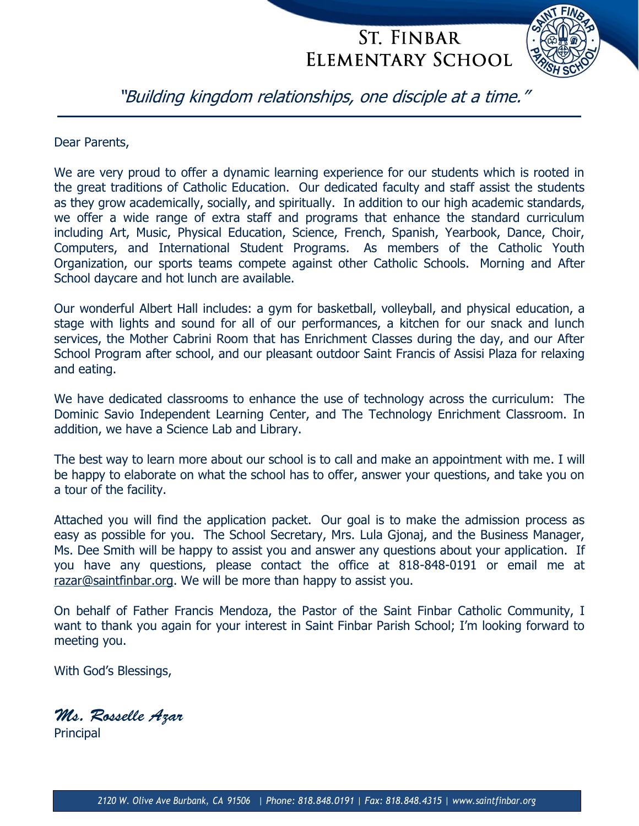

"Building kingdom relationships, one disciple at a time."

Dear Parents,

We are very proud to offer a dynamic learning experience for our students which is rooted in the great traditions of Catholic Education. Our dedicated faculty and staff assist the students as they grow academically, socially, and spiritually. In addition to our high academic standards, we offer a wide range of extra staff and programs that enhance the standard curriculum including Art, Music, Physical Education, Science, French, Spanish, Yearbook, Dance, Choir, Computers, and International Student Programs. As members of the Catholic Youth Organization, our sports teams compete against other Catholic Schools. Morning and After School daycare and hot lunch are available.

Our wonderful Albert Hall includes: a gym for basketball, volleyball, and physical education, a stage with lights and sound for all of our performances, a kitchen for our snack and lunch services, the Mother Cabrini Room that has Enrichment Classes during the day, and our After School Program after school, and our pleasant outdoor Saint Francis of Assisi Plaza for relaxing and eating.

We have dedicated classrooms to enhance the use of technology across the curriculum: The Dominic Savio Independent Learning Center, and The Technology Enrichment Classroom. In addition, we have a Science Lab and Library.

The best way to learn more about our school is to call and make an appointment with me. I will be happy to elaborate on what the school has to offer, answer your questions, and take you on a tour of the facility.

Attached you will find the application packet. Our goal is to make the admission process as easy as possible for you. The School Secretary, Mrs. Lula Gjonaj, and the Business Manager, Ms. Dee Smith will be happy to assist you and answer any questions about your application. If you have any questions, please contact the office at 818-848-0191 or email me at [razar@saintfinbar.org.](mailto:razar@saintfinbar.org) We will be more than happy to assist you.

On behalf of Father Francis Mendoza, the Pastor of the Saint Finbar Catholic Community, I want to thank you again for your interest in Saint Finbar Parish School; I'm looking forward to meeting you.

With God's Blessings,

Ms. Rosselle Azar

**Principal**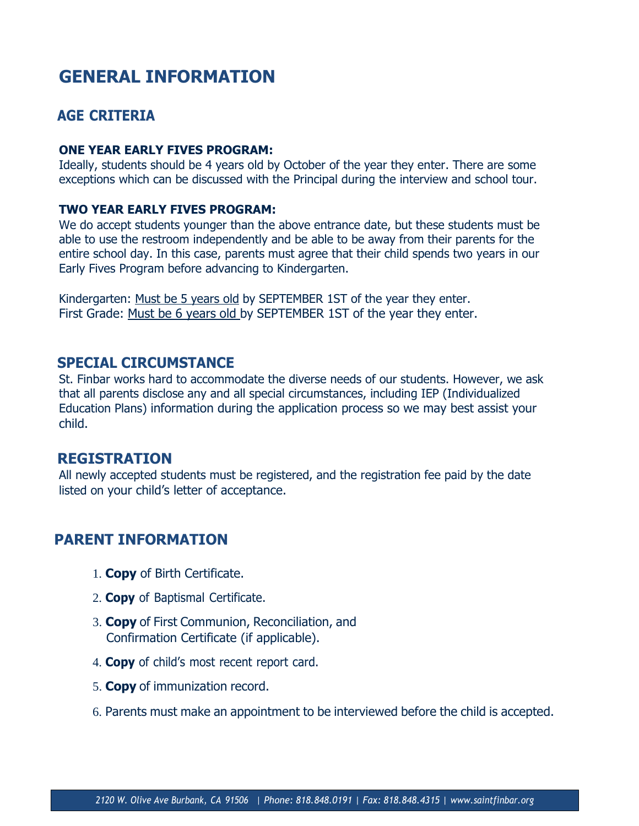### **GENERAL INFORMATION**

#### **AGE CRITERIA**

#### **ONE YEAR EARLY FIVES PROGRAM:**

Ideally, students should be 4 years old by October of the year they enter. There are some exceptions which can be discussed with the Principal during the interview and school tour.

#### **TWO YEAR EARLY FIVES PROGRAM:**

We do accept students younger than the above entrance date, but these students must be able to use the restroom independently and be able to be away from their parents for the entire school day. In this case, parents must agree that their child spends two years in our Early Fives Program before advancing to Kindergarten.

Kindergarten: Must be 5 years old by SEPTEMBER 1ST of the year they enter. First Grade: Must be 6 years old by SEPTEMBER 1ST of the year they enter.

#### **SPECIAL CIRCUMSTANCE**

St. Finbar works hard to accommodate the diverse needs of our students. However, we ask that all parents disclose any and all special circumstances, including IEP (Individualized Education Plans) information during the application process so we may best assist your child.

#### **REGISTRATION**

All newly accepted students must be registered, and the registration fee paid by the date listed on your child's letter of acceptance.

#### **PARENT INFORMATION**

- 1. **Copy** of Birth Certificate.
- 2. **Copy** of Baptismal Certificate.
- 3. **Copy** of First Communion, Reconciliation, and Confirmation Certificate (if applicable).
- 4. **Copy** of child's most recent report card.
- 5. **Copy** of immunization record.
- 6. Parents must make an appointment to be interviewed before the child is accepted.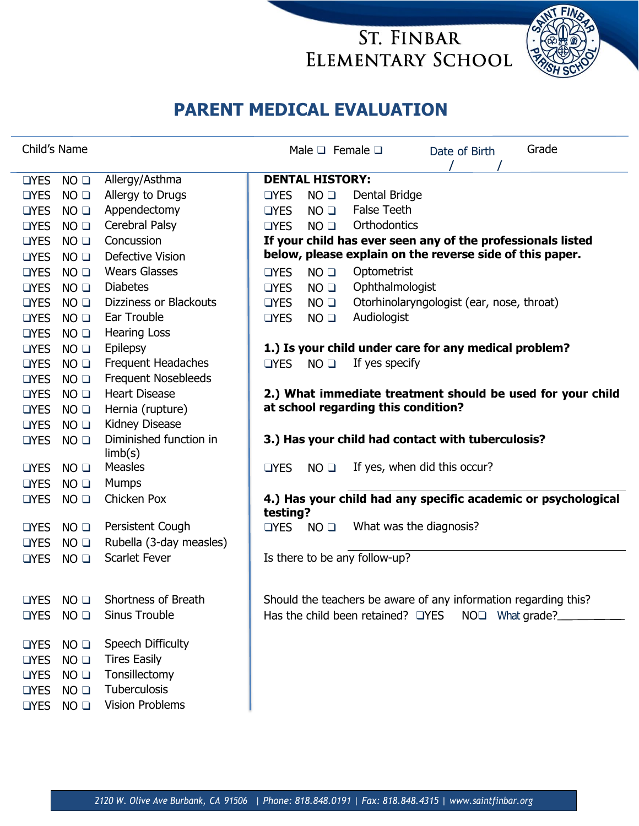

# **PARENT MEDICAL EVALUATION**

| Child's Name                                 |                 |                                   | Male $\square$ Female $\square$   |                                                             | Date of Birth                                                   |                             | Grade |                                                               |
|----------------------------------------------|-----------------|-----------------------------------|-----------------------------------|-------------------------------------------------------------|-----------------------------------------------------------------|-----------------------------|-------|---------------------------------------------------------------|
|                                              |                 |                                   |                                   |                                                             |                                                                 |                             |       |                                                               |
| <b>OYES</b>                                  | NO <sub>Q</sub> | Allergy/Asthma                    | <b>DENTAL HISTORY:</b>            |                                                             |                                                                 |                             |       |                                                               |
| <b>OYES</b>                                  | NO <sub>Q</sub> | Allergy to Drugs                  | <b>OYES</b>                       | NO <sub>Q</sub>                                             | Dental Bridge                                                   |                             |       |                                                               |
| <b>OYES</b>                                  | NO <sub>Q</sub> | Appendectomy                      | <b>OYES</b>                       | NO <sub>Q</sub>                                             | <b>False Teeth</b>                                              |                             |       |                                                               |
| <b>OYES</b>                                  | NO <sub>Q</sub> | Cerebral Palsy                    | <b>OYES</b>                       | NO <sub>Q</sub>                                             | Orthodontics                                                    |                             |       |                                                               |
| Concussion<br>NO <sub>Q</sub><br><b>OYES</b> |                 |                                   |                                   | If your child has ever seen any of the professionals listed |                                                                 |                             |       |                                                               |
| <b>OYES</b>                                  | NO <sub>Q</sub> | Defective Vision                  |                                   |                                                             | below, please explain on the reverse side of this paper.        |                             |       |                                                               |
| <b>OYES</b>                                  | NO <sub>Q</sub> | <b>Wears Glasses</b>              | <b>OYES</b>                       | NO <sub>Q</sub>                                             | Optometrist                                                     |                             |       |                                                               |
| <b>OYES</b>                                  | NO <sub>Q</sub> | <b>Diabetes</b>                   | <b>OYES</b>                       | NO <sub>Q</sub>                                             | Ophthalmologist                                                 |                             |       |                                                               |
| <b>OYES</b>                                  | NO <sub>Q</sub> | Dizziness or Blackouts            | <b>OYES</b>                       | NO <sub>Q</sub>                                             | Otorhinolaryngologist (ear, nose, throat)                       |                             |       |                                                               |
| <b>OYES</b>                                  | NO <sub>Q</sub> | Ear Trouble                       | <b>OYES</b>                       | NO <sub>Q</sub>                                             | Audiologist                                                     |                             |       |                                                               |
| <b>OYES</b>                                  | NO <sub>Q</sub> | <b>Hearing Loss</b>               |                                   |                                                             |                                                                 |                             |       |                                                               |
| <b>OYES</b>                                  | NO <sub>Q</sub> | Epilepsy                          |                                   |                                                             | 1.) Is your child under care for any medical problem?           |                             |       |                                                               |
| <b>OYES</b>                                  | NO <sub>Q</sub> | Frequent Headaches                | $\Box$ YES                        | NO <sub>Q</sub>                                             | If yes specify                                                  |                             |       |                                                               |
| <b>OYES</b>                                  | NO <sub>Q</sub> | <b>Frequent Nosebleeds</b>        |                                   |                                                             |                                                                 |                             |       |                                                               |
| <b>OYES</b>                                  | NO <sub>Q</sub> | <b>Heart Disease</b>              |                                   |                                                             |                                                                 |                             |       | 2.) What immediate treatment should be used for your child    |
| <b>OYES</b>                                  | NO <sub>Q</sub> | Hernia (rupture)                  |                                   |                                                             | at school regarding this condition?                             |                             |       |                                                               |
| <b>OYES</b>                                  | NO <sub>Q</sub> | Kidney Disease                    |                                   |                                                             |                                                                 |                             |       |                                                               |
| $\Box$ YES                                   | NO <sub>Q</sub> | Diminished function in<br>limb(s) |                                   |                                                             | 3.) Has your child had contact with tuberculosis?               |                             |       |                                                               |
| <b>OYES</b>                                  | NO <sub>Q</sub> | <b>Measles</b>                    | <b>OYES</b>                       | NO <sub>Q</sub>                                             | If yes, when did this occur?                                    |                             |       |                                                               |
| <b>OYES</b>                                  | NO <sub>Q</sub> | <b>Mumps</b>                      |                                   |                                                             |                                                                 |                             |       |                                                               |
| <b>OYES</b>                                  | NO <sub>Q</sub> | Chicken Pox                       | testing?                          |                                                             |                                                                 |                             |       | 4.) Has your child had any specific academic or psychological |
| <b>OYES</b>                                  | NO <sub>Q</sub> | Persistent Cough                  | T <sub>YES</sub>                  | NO <sub>Q</sub>                                             | What was the diagnosis?                                         |                             |       |                                                               |
| <b>OYES</b>                                  | NO <sub>Q</sub> | Rubella (3-day measles)           |                                   |                                                             |                                                                 |                             |       |                                                               |
| <b>OYES</b>                                  | NO <sub>Q</sub> | <b>Scarlet Fever</b>              |                                   |                                                             | Is there to be any follow-up?                                   |                             |       |                                                               |
|                                              |                 |                                   |                                   |                                                             |                                                                 |                             |       |                                                               |
| <b>OYES</b>                                  | NO <sub>Q</sub> | Shortness of Breath               |                                   |                                                             | Should the teachers be aware of any information regarding this? |                             |       |                                                               |
| $\Box$ YES                                   | NO <sub>Q</sub> | Sinus Trouble                     | Has the child been retained? OYES |                                                             |                                                                 | NO <sub>I</sub> What grade? |       |                                                               |
| <b>OYES</b>                                  | NO <sub>Q</sub> | Speech Difficulty                 |                                   |                                                             |                                                                 |                             |       |                                                               |
| <b>OYES</b>                                  | NO <sub>Q</sub> | <b>Tires Easily</b>               |                                   |                                                             |                                                                 |                             |       |                                                               |
| <b>OYES</b>                                  | NO <sub>Q</sub> | Tonsillectomy                     |                                   |                                                             |                                                                 |                             |       |                                                               |
| <b>OYES</b>                                  | NO <sub>Q</sub> | Tuberculosis                      |                                   |                                                             |                                                                 |                             |       |                                                               |
| <b>OYES</b>                                  | $NO$ $\square$  | <b>Vision Problems</b>            |                                   |                                                             |                                                                 |                             |       |                                                               |
|                                              |                 |                                   |                                   |                                                             |                                                                 |                             |       |                                                               |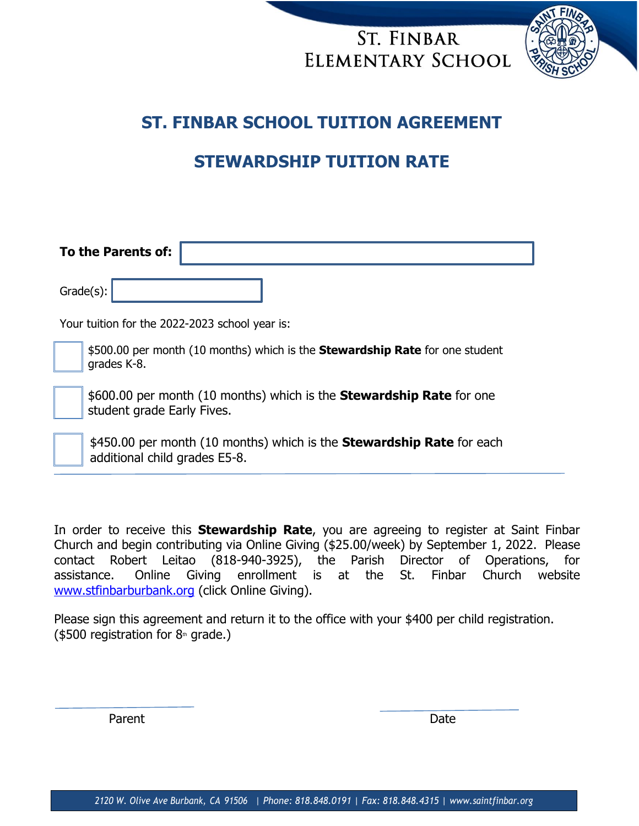

### **ST. FINBAR SCHOOL TUITION AGREEMENT**

# **STEWARDSHIP TUITION RATE**

| To the Parents of:                             |                                                                                                               |  |  |  |  |  |  |
|------------------------------------------------|---------------------------------------------------------------------------------------------------------------|--|--|--|--|--|--|
|                                                | Grade(s):                                                                                                     |  |  |  |  |  |  |
| Your tuition for the 2022-2023 school year is: |                                                                                                               |  |  |  |  |  |  |
|                                                | \$500.00 per month (10 months) which is the <b>Stewardship Rate</b> for one student<br>grades K-8.            |  |  |  |  |  |  |
|                                                | \$600.00 per month (10 months) which is the <b>Stewardship Rate</b> for one<br>student grade Early Fives.     |  |  |  |  |  |  |
|                                                | \$450.00 per month (10 months) which is the <b>Stewardship Rate</b> for each<br>additional child grades E5-8. |  |  |  |  |  |  |

In order to receive this **Stewardship Rate**, you are agreeing to register at Saint Finbar Church and begin contributing via Online Giving (\$25.00/week) by September 1, 2022. Please contact Robert Leitao (818-940-3925), the Parish Director of Operations, for assistance. Online Giving enrollment is at the St. Finbar Church website [www.stfinbarburbank.org](http://www.stfinbar.org/) (click Online Giving).

Please sign this agreement and return it to the office with your \$400 per child registration. ( $$500$  registration for  $8<sup>th</sup>$  grade.)

Parent **Date**